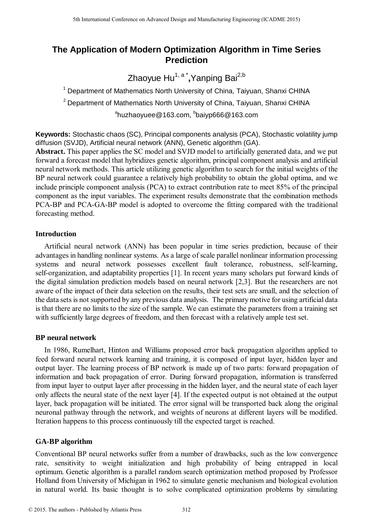# **The Application of Modern Optimization Algorithm in Time Series Prediction**

Zhaoyue Hu<sup>1, a</sup> \*,Yanping Bai<sup>2,b</sup>

<sup>1</sup> Department of Mathematics North University of China, Taiyuan, Shanxi CHINA  $2$  Department of Mathematics North University of China, Taiyuan, Shanxi CHINA

<sup>a</sup>huzhaoyuee@163.com, <sup>b</sup>baiyp666@163.com

**Keywords:** Stochastic chaos (SC), Principal components analysis (PCA), Stochastic volatility jump diffusion (SVJD), Artificial neural network (ANN), Genetic algorithm (GA).

**Abstract.** This paper applies the SC model and SVJD model to artificially generated data, and we put forward a forecast model that hybridizes genetic algorithm, principal component analysis and artificial neural network methods. This article utilizing genetic algorithm to search for the initial weights of the BP neural network could guarantee a relatively high probability to obtain the global optima, and we include principle component analysis (PCA) to extract contribution rate to meet 85% of the principal component as the input variables. The experiment results demonstrate that the combination methods PCA-BP and PCA-GA-BP model is adopted to overcome the fitting compared with the traditional forecasting method.

## **Introduction**

Artificial neural network (ANN) has been popular in time series prediction, because of their advantages in handling nonlinear systems. As a large of scale parallel nonlinear information processing systems and neural network possesses excellent fault tolerance, robustness, self-learning, self-organization, and adaptability properties [1]. In recent years many scholars put forward kinds of the digital simulation prediction models based on neural network [2,3]. But the researchers are not aware of the impact of their data selection on the results, their test sets are small, and the selection of the data sets is not supported by any previous data analysis. The primary motive for using artificial data is that there are no limits to the size of the sample. We can estimate the parameters from a training set with sufficiently large degrees of freedom, and then forecast with a relatively ample test set.

## **BP neural network**

In 1986, Rumelhart, Hinton and Williams proposed error back propagation algorithm applied to feed forward neural network learning and training, it is composed of input layer, hidden layer and output layer. The learning process of BP network is made up of two parts: forward propagation of information and back propagation of error. During forward propagation, information is transferred from input layer to output layer after processing in the hidden layer, and the neural state of each layer only affects the neural state of the next layer [4]. If the expected output is not obtained at the output layer, back propagation will be initiated. The error signal will be transported back along the original neuronal pathway through the network, and weights of neurons at different layers will be modified. Iteration happens to this process continuously till the expected target is reached. **5th International Conference on Advanced Design and Manufacturing Engineering Conference of The Application Advanced University of China, Taiwam, Shanni CHI<br>
<sup>2</sup> Department of Mathematics North University of China, Taiwa** 

## **GA-BP algorithm**

Conventional BP neural networks suffer from a number of drawbacks, such as the low convergence rate, sensitivity to weight initialization and high probability of being entrapped in local optimum. Genetic algorithm is a parallel random search optimization method proposed by Professor Holland from University of Michigan in 1962 to simulate genetic mechanism and biological evolution in natural world. Its basic thought is to solve complicated optimization problems by simulating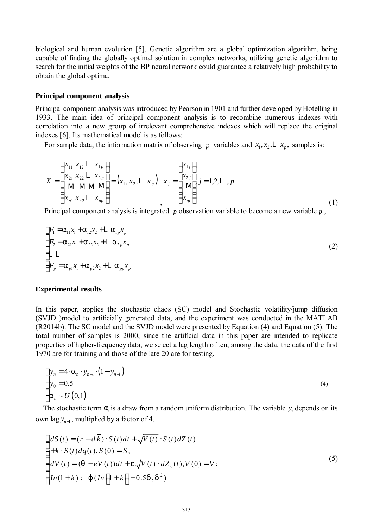biological and human evolution [5]. Genetic algorithm are a global optimization algorithm, being capable of finding the globally optimal solution in complex networks, utilizing genetic algorithm to search for the initial weights of the BP neural network could guarantee a relatively high probability to obtain the global optima.

#### **Principal component analysis**

Principal component analysis was introduced by Pearson in 1901 and further developed by Hotelling in 1933. The main idea of principal component analysis is to recombine numerous indexes with correlation into a new group of irrelevant comprehensive indexes which will replace the original indexes [6]. Its mathematical model is as follows:

For sample data, the information matrix of observing p variables and  $x_1, x_2, L x_p$ , samples is:

$$
X = \begin{pmatrix} x_{11} & x_{12} & \mathbf{L} & x_{1p} \\ x_{21} & x_{22} & \mathbf{L} & x_{2p} \\ \mathbf{M} & \mathbf{M} & \mathbf{M} & \mathbf{M} \\ x_{n1} & x_{n2} & \mathbf{L} & x_{np} \end{pmatrix} = (x_1, x_2, \mathbf{L} & x_p), x_j = \begin{pmatrix} x_{1j} \\ x_{2j} \\ \mathbf{M} \\ \mathbf{M} \\ x_{nj} \end{pmatrix} j = 1, 2, \mathbf{L} , p
$$
\n(1)

Principal component analysis is integrated *p* observation variable to become a new variable *p* ,

$$
\begin{cases}\nF_1 = a_{11}x_1 + a_{12}x_2 + L a_{1p}x_p \\
F_2 = a_{21}x_1 + a_{22}x_2 + L a_{2p}x_p \\
L L\n\end{cases}
$$
\n
$$
(2)
$$
\n
$$
F_p = a_{p1}x_1 + a_{p2}x_2 + L a_{pp}x_p
$$

#### **Experimental results**

In this paper, applies the stochastic chaos (SC) model and Stochastic volatility/jump diffusion (SVJD )model to artificially generated data, and the experiment was conducted in the MATLAB (R2014b). The SC model and the SVJD model were presented by Equation (4) and Equation (5). The total number of samples is 2000, since the artificial data in this paper are intended to replicate properties of higher-frequency data, we select a lag length of ten, among the data, the data of the first 1970 are for training and those of the late 20 are for testing.

$$
\begin{cases}\n y_n = 4 \cdot a_n \cdot y_{n-1} \cdot (1 - y_{n-1}) \\
 y_0 = 0.5 \\
 a_n \sim U(0,1)\n\end{cases}
$$
\n(4)

The stochastic term  $q_i$  is a draw from a random uniform distribution. The variable  $y_n$  depends on its own lag  $y_{n-1}$ , multiplied by a factor of 4.

$$
\begin{cases}\ndS(t) = (r - d\overline{k}) \cdot S(t)dt + \sqrt{V(t)} \cdot S(t) dZ(t) \\
+k \cdot S(t) dq(t), S(0) = S; \\
dV(t) = (q - eV(t))dt + e\sqrt{V(t)} \cdot dZ_{\nu}(t), V(0) = V; \\
In(1 + k): \ j \ (In \left[1 + \overline{k}\right] - 0.5d, d^2)\n\end{cases} (5)
$$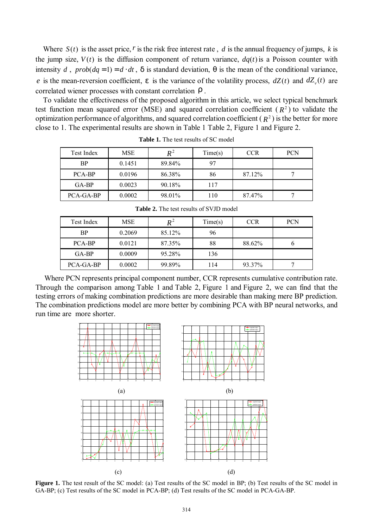Where  $S(t)$  is the asset price, r is the risk free interest rate, d is the annual frequency of jumps, k is the jump size,  $V(t)$  is the diffusion component of return variance,  $dq(t)$  is a Poisson counter with intensity *d*,  $prob(dq = 1) = d \cdot dt$ , *d* is standard deviation, *q* is the mean of the conditional variance, *e* is the mean-reversion coefficient, *e* is the variance of the volatility process,  $dZ(t)$  and  $dZ<sub>v</sub>(t)$  are correlated wiener processes with constant correlation *r* .

To validate the effectiveness of the proposed algorithm in this article, we select typical benchmark test function mean squared error (MSE) and squared correlation coefficient ( $R<sup>2</sup>$ ) to validate the optimization performance of algorithms, and squared correlation coefficient ( $R<sup>2</sup>$ ) is the better for more close to 1. The experimental results are shown in Table 1 Table 2, Figure 1 and Figure 2.

| Test Index | MSE    | $R^2$  | Time(s) | <b>CCR</b> | PCN |
|------------|--------|--------|---------|------------|-----|
| <b>BP</b>  | 0.1451 | 89.84% | 97      |            |     |
| PCA-BP     | 0.0196 | 86.38% | 86      | 87.12%     |     |
| $GA-BP$    | 0.0023 | 90.18% | 117     |            |     |
| PCA-GA-BP  | 0.0002 | 98.01% | 110     | 87.47%     |     |

**Table 1.** The test results of SC model

| Test Index | MSE    | $R^2$  | Time(s) | <b>CCR</b> | <b>PCN</b> |
|------------|--------|--------|---------|------------|------------|
| BP         | 0.2069 | 85.12% | 96      |            |            |
| PCA-BP     | 0.0121 | 87.35% | 88      | 88.62%     |            |
| $GA-BP$    | 0.0009 | 95.28% | 136     |            |            |
| PCA-GA-BP  | 0.0002 | 99.89% | 114     | 93.37%     |            |

**Table 2.** The test results of SVJD model

Where PCN represents principal component number, CCR represents cumulative contribution rate. Through the comparison among Table 1 and Table 2, Figure 1 and Figure 2, we can find that the testing errors of making combination predictions are more desirable than making mere BP prediction. The combination predictions model are more better by combining PCA with BP neural networks, and run time are more shorter.



**Figure 1.** The test result of the SC model: (a) Test results of the SC model in BP; (b) Test results of the SC model in GA-BP; (c) Test results of the SC model in PCA-BP; (d) Test results of the SC model in PCA-GA-BP.